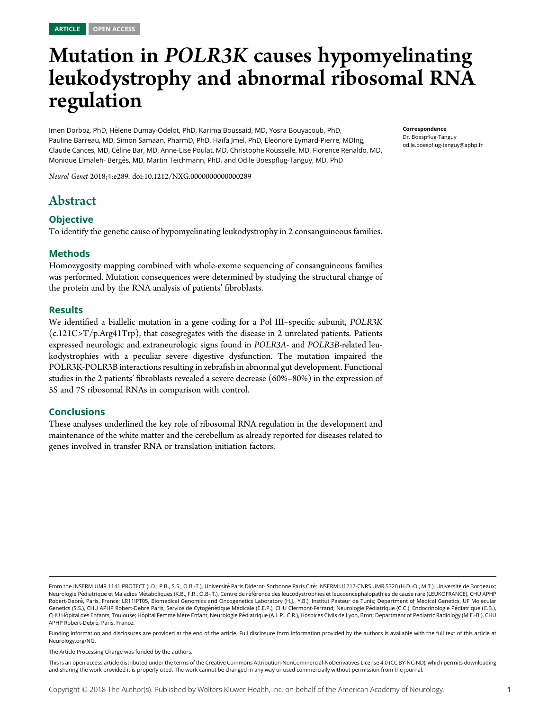# Mutation in POLR3K causes hypomyelinating leukodystrophy and abnormal ribosomal RNA regulation

Imen Dorboz, PhD, H´elene Dumay-Odelot, PhD, Karima Boussaid, MD, Yosra Bouyacoub, PhD, Pauline Barreau, MD, Simon Samaan, PharmD, PhD, Haifa Jmel, PhD, Eleonore Eymard-Pierre, MDIng, Claude Cances, MD, Céline Bar, MD, Anne-Lise Poulat, MD, Christophe Rousselle, MD, Florence Renaldo, MD, Monique Elmaleh- Berg`es, MD, Martin Teichmann, PhD, and Odile Boespflug-Tanguy, MD, PhD

Neurol Genet 2018;4:e289. doi:[10.1212/NXG.0000000000000289](http://dx.doi.org/10.1212/NXG.0000000000000289)

# Abstract

# **Objective**

To identify the genetic cause of hypomyelinating leukodystrophy in 2 consanguineous families.

# Methods

Homozygosity mapping combined with whole-exome sequencing of consanguineous families was performed. Mutation consequences were determined by studying the structural change of the protein and by the RNA analysis of patients' fibroblasts.

### Results

We identified a biallelic mutation in a gene coding for a Pol III–specific subunit, POLR3K (c.121C>T/p.Arg41Trp), that cosegregates with the disease in 2 unrelated patients. Patients expressed neurologic and extraneurologic signs found in POLR3A- and POLR3B-related leukodystrophies with a peculiar severe digestive dysfunction. The mutation impaired the POLR3K-POLR3B interactions resulting in zebrafish in abnormal gut development. Functional studies in the 2 patients' fibroblasts revealed a severe decrease (60%–80%) in the expression of 5S and 7S ribosomal RNAs in comparison with control.

# Conclusions

These analyses underlined the key role of ribosomal RNA regulation in the development and maintenance of the white matter and the cerebellum as already reported for diseases related to genes involved in transfer RNA or translation initiation factors.

Correspondence Dr. Boespflug-Tanguy [odile.boespflug-tanguy@aphp.fr](mailto:odile.boespflug-tanguy@aphp.fr)

The Article Processing Charge was funded by the authors.

From the INSERM UMR 1141 PROTECT (I.D., P.B., S.S., O.B.-T.), Université Paris Diderot- Sorbonne Paris Cité; INSERM U1212-CNRS UMR 5320 (H.D.-O., M.T.), Université de Bordeaux; Neurologie Pédiatrique et Maladies Métaboliques (K.B., F.R., O.B-.T.), Centre de référence des leucodystrophies et leucoencéphalopathies de cause rare (LEUKOFRANCE), CHU APHP Robert-Debré, Paris, France; LR11IPT05, Biomedical Genomics and Oncogenetics Laboratory (H.J., Y.B.), Institut Pasteur de Tunis; Department of Medical Genetics, UF Molecular Genetics (S.S.), CHU APHP Robert-Debré Paris; Service de Cytogénétique Médicale (E.E.P.), CHU Clermont-Ferrand; Neurologie Pédiatrique (C.C.), Endocrinologie Pédiatrique (C.B.), CHU Hôpital des Enfants, Toulouse; Hôpital Femme Mère Enfant, Neurologie Pédiatrique (A.L.P., C.R.), Hospices Civils de Lyon, Bron; Department of Pediatric Radiology (M.E.-B.), CHU APHP Robert-Debré, Paris, France.

Funding information and disclosures are provided at the end of the article. Full disclosure form information provided by the authors is available with the full text of this article at [Neurology.org/NG](http://ng.neurology.org/lookup/doi/10.1212/NXG.0000000000000289).

This is an open access article distributed under the terms of the [Creative Commons Attribution-NonCommercial-NoDerivatives License 4.0 \(CC BY-NC-ND\),](http://creativecommons.org/licenses/by-nc-nd/4.0/) which permits downloading and sharing the work provided it is properly cited. The work cannot be changed in any way or used commercially without permission from the journal.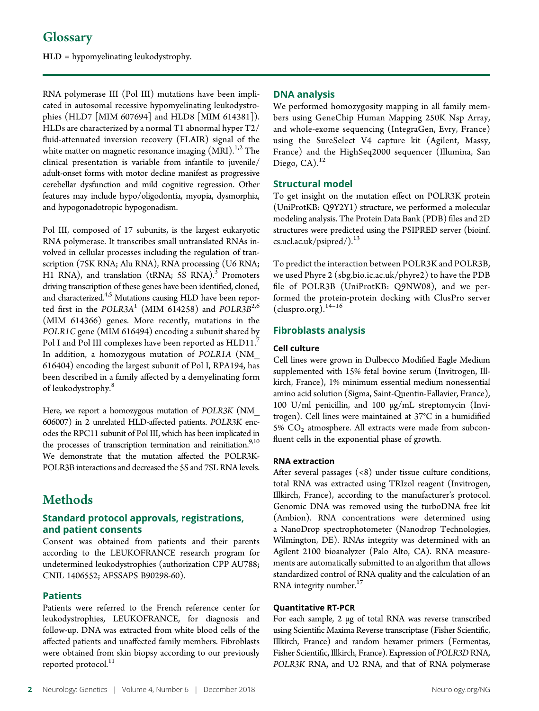# **Glossary**

HLD = hypomyelinating leukodystrophy.

RNA polymerase III (Pol III) mutations have been implicated in autosomal recessive hypomyelinating leukodystrophies (HLD7 [MIM 607694] and HLD8 [MIM 614381]). HLDs are characterized by a normal T1 abnormal hyper T2/ fluid-attenuated inversion recovery (FLAIR) signal of the white matter on magnetic resonance imaging  $(MRI)^{1,2}$  The clinical presentation is variable from infantile to juvenile/ adult-onset forms with motor decline manifest as progressive cerebellar dysfunction and mild cognitive regression. Other features may include hypo/oligodontia, myopia, dysmorphia, and hypogonadotropic hypogonadism.

Pol III, composed of 17 subunits, is the largest eukaryotic RNA polymerase. It transcribes small untranslated RNAs involved in cellular processes including the regulation of transcription (7SK RNA; Alu RNA), RNA processing (U6 RNA; H1 RNA), and translation (tRNA; 5S RNA). $3$  Promoters driving transcription of these genes have been identified, cloned, and characterized.<sup>4,5</sup> Mutations causing HLD have been reported first in the POLR3A<sup>1</sup> (MIM 614258) and POLR3B<sup>2,6</sup> (MIM 614366) genes. More recently, mutations in the POLR1C gene (MIM 616494) encoding a subunit shared by Pol I and Pol III complexes have been reported as HLD11.<sup>7</sup> In addition, a homozygous mutation of POLR1A (NM\_ 616404) encoding the largest subunit of Pol I, RPA194, has been described in a family affected by a demyelinating form of leukodystrophy.<sup>8</sup>

Here, we report a homozygous mutation of POLR3K (NM\_ 606007) in 2 unrelated HLD-affected patients. POLR3K encodes the RPC11 subunit of Pol III, which has been implicated in the processes of transcription termination and reinitiation.<sup>9,10</sup> We demonstrate that the mutation affected the POLR3K-POLR3B interactions and decreased the 5S and 7SL RNA levels.

# Methods

# Standard protocol approvals, registrations, and patient consents

Consent was obtained from patients and their parents according to the LEUKOFRANCE research program for undetermined leukodystrophies (authorization CPP AU788; CNIL 1406552; AFSSAPS B90298-60).

# **Patients**

Patients were referred to the French reference center for leukodystrophies, LEUKOFRANCE, for diagnosis and follow-up. DNA was extracted from white blood cells of the affected patients and unaffected family members. Fibroblasts were obtained from skin biopsy according to our previously reported protocol.<sup>11</sup>

# DNA analysis

We performed homozygosity mapping in all family members using GeneChip Human Mapping 250K Nsp Array, and whole-exome sequencing (IntegraGen, Evry, France) using the SureSelect V4 capture kit (Agilent, Massy, France) and the HighSeq2000 sequencer (Illumina, San Diego,  $CA$ ).<sup>12</sup>

# Structural model

To get insight on the mutation effect on POLR3K protein (UniProtKB: Q9Y2Y1) structure, we performed a molecular modeling analysis. The Protein Data Bank (PDB) files and 2D structures were predicted using the PSIPRED server [\(bioinf.](http://bioinf.cs.ucl.ac.uk/psipred/) [cs.ucl.ac.uk/psipred/\)](http://bioinf.cs.ucl.ac.uk/psipred/).<sup>13</sup>

To predict the interaction between POLR3K and POLR3B, we used Phyre 2 ([sbg.bio.ic.ac.uk/phyre2](http://www.sbg.bio.ic.ac.uk/phyre2)) to have the PDB file of POLR3B (UniProtKB: Q9NW08), and we performed the protein-protein docking with ClusPro server  $(cluspro.org).<sup>14–16</sup>$  $(cluspro.org).<sup>14–16</sup>$ 

# Fibroblasts analysis

### Cell culture

Cell lines were grown in Dulbecco Modified Eagle Medium supplemented with 15% fetal bovine serum (Invitrogen, Illkirch, France), 1% minimum essential medium nonessential amino acid solution (Sigma, Saint-Quentin-Fallavier, France), 100 U/ml penicillin, and 100 μg/mL streptomycin (Invitrogen). Cell lines were maintained at 37°C in a humidified 5%  $CO<sub>2</sub>$  atmosphere. All extracts were made from subconfluent cells in the exponential phase of growth.

# RNA extraction

After several passages (<8) under tissue culture conditions, total RNA was extracted using TRIzol reagent (Invitrogen, Illkirch, France), according to the manufacturer's protocol. Genomic DNA was removed using the turboDNA free kit (Ambion). RNA concentrations were determined using a NanoDrop spectrophotometer (Nanodrop Technologies, Wilmington, DE). RNAs integrity was determined with an Agilent 2100 bioanalyzer (Palo Alto, CA). RNA measurements are automatically submitted to an algorithm that allows standardized control of RNA quality and the calculation of an RNA integrity number. $17$ 

### Quantitative RT-PCR

For each sample, 2 μg of total RNA was reverse transcribed using Scientific Maxima Reverse transcriptase (Fisher Scientific, Illkirch, France) and random hexamer primers (Fermentas, Fisher Scientific, Illkirch, France). Expression of POLR3DRNA, POLR3K RNA, and U2 RNA, and that of RNA polymerase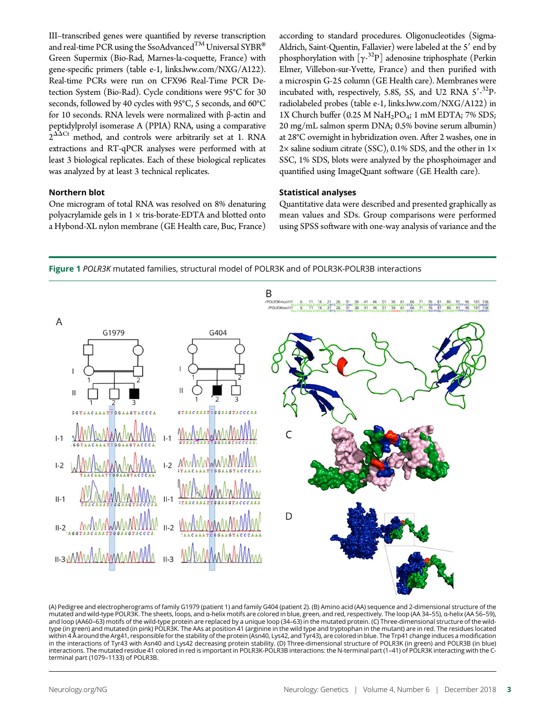III–transcribed genes were quantified by reverse transcription and real-time PCR using the SsoAdvanced<sup>TM</sup> Universal SYBR<sup>®</sup> Green Supermix (Bio-Rad, Marnes-la-coquette, France) with gene-specific primers (table e-1, [links.lww.com/NXG/A122\)](http://links.lww.com/NXG/A122). Real-time PCRs were run on CFX96 Real-Time PCR Detection System (Bio-Rad). Cycle conditions were 95°C for 30 seconds, followed by 40 cycles with 95°C, 5 seconds, and 60°C for 10 seconds. RNA levels were normalized with β-actin and peptidylprolyl isomerase A (PPIA) RNA, using a comparative  $2^{\Delta\Delta}$ Ct method, and controls were arbitrarily set at 1. RNA extractions and RT-qPCR analyses were performed with at least 3 biological replicates. Each of these biological replicates was analyzed by at least 3 technical replicates.

# Northern blot

One microgram of total RNA was resolved on 8% denaturing polyacrylamide gels in  $1 \times$  tris-borate-EDTA and blotted onto a Hybond-XL nylon membrane (GE Health care, Buc, France) according to standard procedures. Oligonucleotides (Sigma-Aldrich, Saint-Quentin, Fallavier) were labeled at the 5' end by phosphorylation with  $[\gamma^{32}P]$  adenosine triphosphate (Perkin Elmer, Villebon-sur-Yvette, France) and then purified with a microspin G-25 column (GE Health care). Membranes were incubated with, respectively, 5.8S, 5S, and U2 RNA 5'-32Pradiolabeled probes (table e-1, [links.lww.com/NXG/A122\)](http://links.lww.com/NXG/A122) in 1X Church buffer (0.25 M NaH<sub>2</sub>PO<sub>4</sub>; 1 mM EDTA; 7% SDS; 20 mg/mL salmon sperm DNA; 0.5% bovine serum albumin) at 28°C overnight in hybridization oven. After 2 washes, one in  $2\times$  saline sodium citrate (SSC), 0.1% SDS, and the other in  $1\times$ SSC, 1% SDS, blots were analyzed by the phosphoimager and quantified using ImageQuant software (GE Health care).

# Statistical analyses

Quantitative data were described and presented graphically as mean values and SDs. Group comparisons were performed using SPSS software with one-way analysis of variance and the





<sup>(</sup>A) Pedigree and electropherograms of family G1979 (patient 1) and family G404 (patient 2). (B) Amino acid (AA) sequence and 2-dimensional structure of the mutated and wild-type POLR3K. The sheets, loops, and α-helix motifs are colored in blue, green, and red, respectively. The loop (AA 34–55), α-helix (AA 56–59), and loop (AA60–63) motifs of the wild-type protein are replaced by a unique loop (34–63) in the mutated protein. (C) Three-dimensional structure of the wildtype (in green) and mutated (in pink) POLR3K. The AAs at position 41 (arginine in the wild type and tryptophan in the mutant) are in red. The residues located<br>within 4 Å around the Arg41, responsible for the stability of t in the interactions of Tyr43 with Asn40 and Lys42 decreasing protein stability. (D) Three-dimensional structure of POLR3K (in green) and POLR3B (in blue) interactions. The mutated residue 41 colored in red is important in POLR3K-POLR3B interactions: the N-terminal part (1–41) of POLR3K interacting with the Cterminal part (1079–1133) of POLR3B.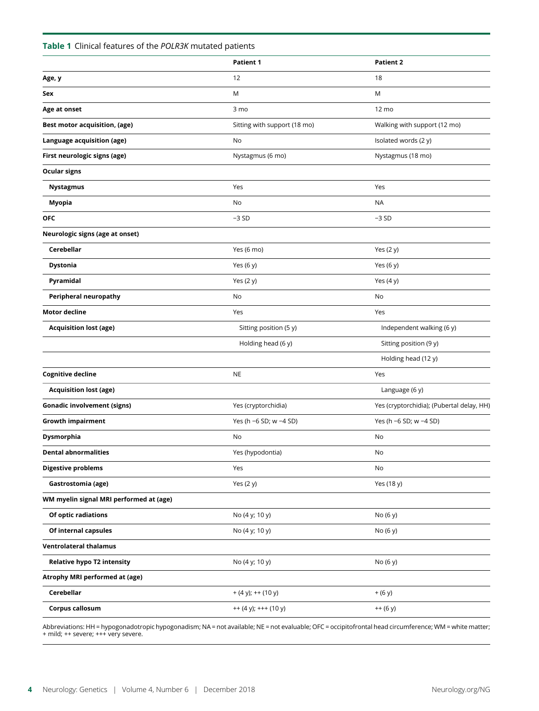# Table 1 Clinical features of the POLR3K mutated patients

|                                         | <b>Patient 1</b>             | <b>Patient 2</b>                          |  |
|-----------------------------------------|------------------------------|-------------------------------------------|--|
| Age, y                                  | 12                           | 18                                        |  |
| Sex                                     | M                            | M                                         |  |
| Age at onset                            | 3 mo                         | 12 mo                                     |  |
| <b>Best motor acquisition, (age)</b>    | Sitting with support (18 mo) | Walking with support (12 mo)              |  |
| Language acquisition (age)              | No                           | Isolated words (2 y)                      |  |
| First neurologic signs (age)            | Nystagmus (6 mo)             | Nystagmus (18 mo)                         |  |
| <b>Ocular signs</b>                     |                              |                                           |  |
| Nystagmus                               | Yes                          | Yes                                       |  |
| Myopia                                  | No                           | <b>NA</b>                                 |  |
| <b>OFC</b>                              | $-3SD$                       | $-3SD$                                    |  |
| Neurologic signs (age at onset)         |                              |                                           |  |
| Cerebellar                              | Yes (6 mo)                   | Yes (2 y)                                 |  |
| <b>Dystonia</b>                         | Yes (6 y)                    | Yes (6 y)                                 |  |
| Pyramidal                               | Yes (2 y)                    | Yes (4 y)                                 |  |
| Peripheral neuropathy                   | No                           | No                                        |  |
| <b>Motor decline</b>                    | Yes                          | Yes                                       |  |
| <b>Acquisition lost (age)</b>           | Sitting position (5 y)       | Independent walking (6 y)                 |  |
|                                         | Holding head (6 y)           | Sitting position (9 y)                    |  |
|                                         |                              | Holding head (12 y)                       |  |
| <b>Cognitive decline</b>                | <b>NE</b>                    | Yes                                       |  |
| <b>Acquisition lost (age)</b>           |                              | Language (6 y)                            |  |
| <b>Gonadic involvement (signs)</b>      | Yes (cryptorchidia)          | Yes (cryptorchidia); (Pubertal delay, HH) |  |
| <b>Growth impairment</b>                | Yes (h -6 SD; w -4 SD)       | Yes (h -6 SD; w -4 SD)                    |  |
| Dysmorphia                              | No                           | No                                        |  |
| <b>Dental abnormalities</b>             | Yes (hypodontia)             | No                                        |  |
| <b>Digestive problems</b>               | Yes                          | No                                        |  |
| Gastrostomia (age)                      | Yes (2 y)                    | Yes (18 y)                                |  |
| WM myelin signal MRI performed at (age) |                              |                                           |  |
| Of optic radiations                     | No (4 y; 10 y)               | No (6 y)                                  |  |
| Of internal capsules                    | No (4 y; 10 y)               | No (6 y)                                  |  |
| <b>Ventrolateral thalamus</b>           |                              |                                           |  |
| <b>Relative hypo T2 intensity</b>       | No (4 y; 10 y)               | No (6 y)                                  |  |
| Atrophy MRI performed at (age)          |                              |                                           |  |
| Cerebellar                              | $+ (4 y); ++ (10 y)$         | $+ (6 y)$                                 |  |
| Corpus callosum                         | $++ (4 y); +++(10 y)$        | $++ (6 y)$                                |  |
|                                         |                              |                                           |  |

Abbreviations: HH = hypogonadotropic hypogonadism; NA = not available; NE = not evaluable; OFC = occipitofrontal head circumference; WM = white matter; + mild; ++ severe; +++ very severe.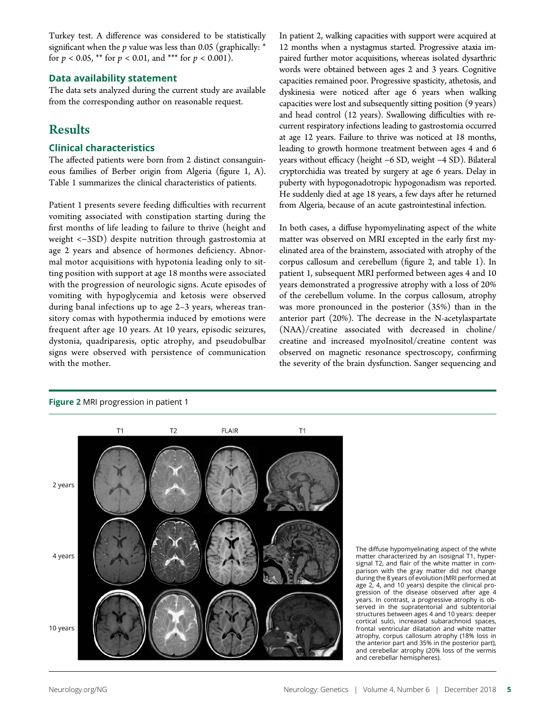Turkey test. A difference was considered to be statistically significant when the  $p$  value was less than 0.05 (graphically:  $*$ for  $p < 0.05$ , \*\* for  $p < 0.01$ , and \*\*\* for  $p < 0.001$ ).

# Data availability statement

The data sets analyzed during the current study are available from the corresponding author on reasonable request.

# Results

# Clinical characteristics

The affected patients were born from 2 distinct consanguineous families of Berber origin from Algeria (figure 1, A). Table 1 summarizes the clinical characteristics of patients.

Patient 1 presents severe feeding difficulties with recurrent vomiting associated with constipation starting during the first months of life leading to failure to thrive (height and weight <−3SD) despite nutrition through gastrostomia at age 2 years and absence of hormones deficiency. Abnormal motor acquisitions with hypotonia leading only to sitting position with support at age 18 months were associated with the progression of neurologic signs. Acute episodes of vomiting with hypoglycemia and ketosis were observed during banal infections up to age 2–3 years, whereas transitory comas with hypothermia induced by emotions were frequent after age 10 years. At 10 years, episodic seizures, dystonia, quadriparesis, optic atrophy, and pseudobulbar signs were observed with persistence of communication with the mother.

In patient 2, walking capacities with support were acquired at 12 months when a nystagmus started. Progressive ataxia impaired further motor acquisitions, whereas isolated dysarthric words were obtained between ages 2 and 3 years. Cognitive capacities remained poor. Progressive spasticity, athetosis, and dyskinesia were noticed after age 6 years when walking capacities were lost and subsequently sitting position (9 years) and head control (12 years). Swallowing difficulties with recurrent respiratory infections leading to gastrostomia occurred at age 12 years. Failure to thrive was noticed at 18 months, leading to growth hormone treatment between ages 4 and 6 years without efficacy (height −6 SD, weight −4 SD). Bilateral cryptorchidia was treated by surgery at age 6 years. Delay in puberty with hypogonadotropic hypogonadism was reported. He suddenly died at age 18 years, a few days after he returned from Algeria, because of an acute gastrointestinal infection.

In both cases, a diffuse hypomyelinating aspect of the white matter was observed on MRI excepted in the early first myelinated area of the brainstem, associated with atrophy of the corpus callosum and cerebellum (figure 2, and table 1). In patient 1, subsequent MRI performed between ages 4 and 10 years demonstrated a progressive atrophy with a loss of 20% of the cerebellum volume. In the corpus callosum, atrophy was more pronounced in the posterior (35%) than in the anterior part (20%). The decrease in the N-acetylaspartate (NAA)/creatine associated with decreased in choline/ creatine and increased myoInositol/creatine content was observed on magnetic resonance spectroscopy, confirming the severity of the brain dysfunction. Sanger sequencing and

# Figure 2 MRI progression in patient 1



The diffuse hypomyelinating aspect of the white matter characterized by an isosignal T1, hypersignal T2, and flair of the white matter in comparison with the gray matter did not change during the 8 years of evolution (MRI performed at age 2, 4, and 10 years) despite the clinical progression of the disease observed after age 4 years. In contrast, a progressive atrophy is observed in the supratentorial and subtentorial structures between ages 4 and 10 years: deeper cortical sulci, increased subarachnoid spaces, frontal ventricular dilatation and white matter atrophy, corpus callosum atrophy (18% loss in the anterior part and 35% in the posterior part), and cerebellar atrophy (20% loss of the vermis and cerebellar hemispheres).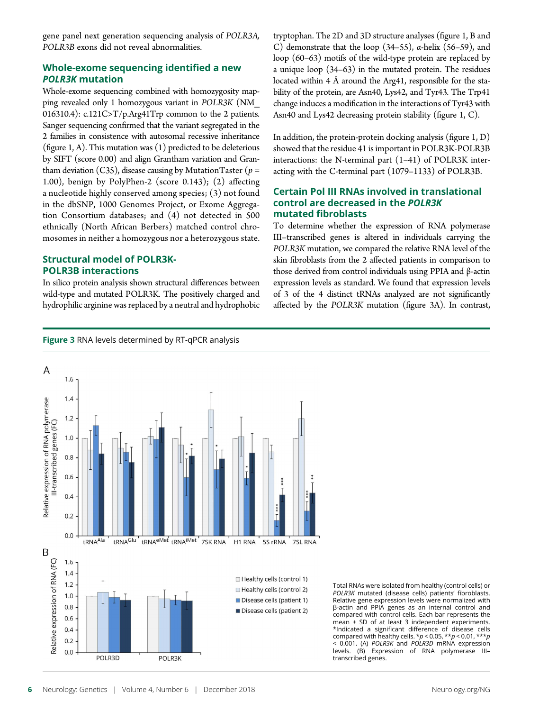gene panel next generation sequencing analysis of POLR3A, POLR3B exons did not reveal abnormalities.

# Whole-exome sequencing identified a new POLR3K mutation

Whole-exome sequencing combined with homozygosity mapping revealed only 1 homozygous variant in POLR3K (NM\_ 016310.4):  $c.121C > T/p \text{Arg}41Trp$  common to the 2 patients. Sanger sequencing confirmed that the variant segregated in the 2 families in consistence with autosomal recessive inheritance (figure 1, A). This mutation was  $(1)$  predicted to be deleterious by SIFT (score 0.00) and align Grantham variation and Grantham deviation (C35), disease causing by Mutation Taster ( $p =$ 1.00), benign by PolyPhen-2 (score 0.143); (2) affecting a nucleotide highly conserved among species; (3) not found in the dbSNP, 1000 Genomes Project, or Exome Aggregation Consortium databases; and (4) not detected in 500 ethnically (North African Berbers) matched control chromosomes in neither a homozygous nor a heterozygous state.

# Structural model of POLR3K-POLR3B interactions

In silico protein analysis shown structural differences between wild-type and mutated POLR3K. The positively charged and hydrophilic arginine was replaced by a neutral and hydrophobic

tryptophan. The 2D and 3D structure analyses (figure 1, B and C) demonstrate that the loop (34–55), α-helix (56–59), and loop (60–63) motifs of the wild-type protein are replaced by a unique loop (34–63) in the mutated protein. The residues located within 4 Å around the Arg41, responsible for the stability of the protein, are Asn40, Lys42, and Tyr43. The Trp41 change induces a modification in the interactions of Tyr43 with Asn40 and Lys42 decreasing protein stability (figure 1, C).

In addition, the protein-protein docking analysis (figure 1, D) showed that the residue 41 is important in POLR3K-POLR3B interactions: the N-terminal part (1–41) of POLR3K interacting with the C-terminal part (1079–1133) of POLR3B.

# Certain Pol III RNAs involved in translational control are decreased in the POLR3K mutated fibroblasts

To determine whether the expression of RNA polymerase III–transcribed genes is altered in individuals carrying the POLR3K mutation, we compared the relative RNA level of the skin fibroblasts from the 2 affected patients in comparison to those derived from control individuals using PPIA and β-actin expression levels as standard. We found that expression levels of 3 of the 4 distinct tRNAs analyzed are not significantly <sup>a</sup>ffected by the POLR3K mutation (figure 3A). In contrast,

Figure 3 RNA levels determined by RT-qPCR analysis



Total RNAs were isolated from healthy (control cells) or POLR3K mutated (disease cells) patients' fibroblasts. Relative gene expression levels were normalized with β-actin and PPIA genes as an internal control and compared with control cells. Each bar represents the mean ± SD of at least 3 independent experiments. \*Indicated a significant difference of disease cells compared with healthy cells. \*p < 0.05, \*\*p < 0.01, \*\*\*p < 0.001. (A) POLR3K and POLR3D mRNA expression levels. (B) Expression of RNA polymerase III– transcribed genes.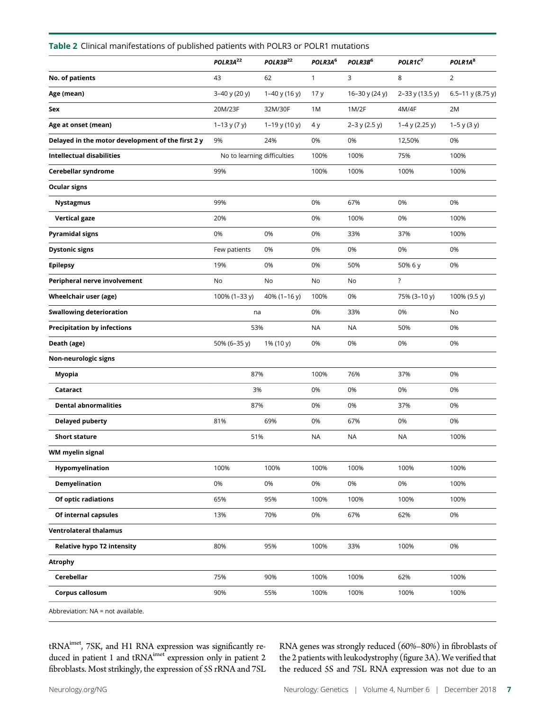| Table 2 Clinical manifestations of published patients with POLR3 or POLR1 mutations |                             |                      |                     |                     |                     |                     |  |  |
|-------------------------------------------------------------------------------------|-----------------------------|----------------------|---------------------|---------------------|---------------------|---------------------|--|--|
|                                                                                     | POLR3A <sup>22</sup>        | POLR3B <sup>22</sup> | POLR3A <sup>6</sup> | POLR3B <sup>6</sup> | POLR1C <sup>7</sup> | POLR1A <sup>8</sup> |  |  |
| No. of patients                                                                     | 43                          | 62                   | $\mathbf{1}$        | 3                   | 8                   | 2                   |  |  |
| Age (mean)                                                                          | 3-40 y (20 y)               | $1-40$ y (16 y)      | 17y                 | 16-30 y (24 y)      | 2-33 y (13.5 y)     | 6.5-11 y (8.75 y)   |  |  |
| Sex                                                                                 | 20M/23F                     | 32M/30F              | 1M                  | 1M/2F               | 4M/4F               | 2M                  |  |  |
| Age at onset (mean)                                                                 | $1-13$ y (7 y)              | $1-19$ y (10 y)      | 4 y                 | 2-3 y (2.5 y)       | $1-4$ y (2.25 y)    | $1 - 5$ y (3 y)     |  |  |
| Delayed in the motor development of the first 2 y                                   | 9%                          | 24%                  | 0%                  | 0%                  | 12,50%              | 0%                  |  |  |
| <b>Intellectual disabilities</b>                                                    | No to learning difficulties |                      | 100%                | 100%                | 75%                 | 100%                |  |  |
| Cerebellar syndrome                                                                 | 99%                         |                      | 100%                | 100%                | 100%                | 100%                |  |  |
| <b>Ocular signs</b>                                                                 |                             |                      |                     |                     |                     |                     |  |  |
| <b>Nystagmus</b>                                                                    | 99%                         |                      | 0%                  | 67%                 | 0%                  | 0%                  |  |  |
| <b>Vertical gaze</b>                                                                | 20%                         |                      | 0%                  | 100%                | 0%                  | 100%                |  |  |
| <b>Pyramidal signs</b>                                                              | 0%                          | 0%                   | 0%                  | 33%                 | 37%                 | 100%                |  |  |
| <b>Dystonic signs</b>                                                               | Few patients                | 0%                   | 0%                  | 0%                  | 0%                  | 0%                  |  |  |
| <b>Epilepsy</b>                                                                     | 19%                         | 0%                   | 0%                  | 50%                 | 50% 6 y             | 0%                  |  |  |
| Peripheral nerve involvement                                                        | No                          | No                   | No                  | No                  | $\ddot{?}$          |                     |  |  |
| Wheelchair user (age)                                                               | 100% (1-33 y)               | 40% (1-16 y)         | 100%                | 0%                  | 75% (3-10 y)        | 100% (9.5 y)        |  |  |
| <b>Swallowing deterioration</b>                                                     | na                          |                      | 0%                  | 33%                 | 0%                  | No                  |  |  |
| <b>Precipitation by infections</b>                                                  | 53%                         |                      | <b>NA</b>           | <b>NA</b>           | 50%                 | 0%                  |  |  |
| Death (age)                                                                         | 50% (6-35 y)                | 1% (10 y)            | 0%                  | 0%                  | 0%                  | 0%                  |  |  |
| Non-neurologic signs                                                                |                             |                      |                     |                     |                     |                     |  |  |
| Myopia                                                                              | 87%                         |                      | 100%                | 76%                 | 37%                 | 0%                  |  |  |
| Cataract                                                                            | 3%                          |                      | 0%                  | 0%                  | 0%                  | 0%                  |  |  |
| <b>Dental abnormalities</b>                                                         | 87%                         |                      | 0%                  | 0%                  | 37%                 | 0%                  |  |  |
| <b>Delayed puberty</b>                                                              | 81%                         | 69%                  | 0%                  | 67%                 | 0%                  | 0%                  |  |  |
| Short stature                                                                       | 51%                         |                      | <b>NA</b>           | <b>NA</b>           | <b>NA</b>           | 100%                |  |  |
| WM myelin signal                                                                    |                             |                      |                     |                     |                     |                     |  |  |
| Hypomyelination                                                                     | 100%                        | 100%                 | 100%                | 100%                | 100%                | 100%                |  |  |
| Demyelination                                                                       | 0%                          | 0%                   | 0%                  | 0%                  | 0%                  | 100%                |  |  |
| Of optic radiations                                                                 | 65%                         | 95%                  | 100%                | 100%                | 100%                | 100%                |  |  |
| Of internal capsules                                                                | 13%                         | 70%                  | 0%                  | 67%                 | 62%                 | 0%                  |  |  |
| <b>Ventrolateral thalamus</b>                                                       |                             |                      |                     |                     |                     |                     |  |  |
| <b>Relative hypo T2 intensity</b>                                                   | 80%                         | 95%                  | 100%                | 33%                 | 100%                | 0%                  |  |  |
| <b>Atrophy</b>                                                                      |                             |                      |                     |                     |                     |                     |  |  |
| Cerebellar                                                                          | 75%                         | 90%                  | 100%                | 100%                | 62%                 | 100%                |  |  |
| Corpus callosum                                                                     | 90%                         | 55%                  | 100%                | 100%                | 100%                | 100%                |  |  |
| Abbreviation: NA = not available.                                                   |                             |                      |                     |                     |                     |                     |  |  |

tRNA<sup>imet</sup>, 7SK, and H1 RNA expression was significantly reduced in patient 1 and tRNA<sup>imet</sup> expression only in patient 2 fibroblasts. Most strikingly, the expression of 5S rRNA and 7SL

RNA genes was strongly reduced (60%–80%) in fibroblasts of the 2 patients with leukodystrophy (figure 3A). We verified that the reduced 5S and 7SL RNA expression was not due to an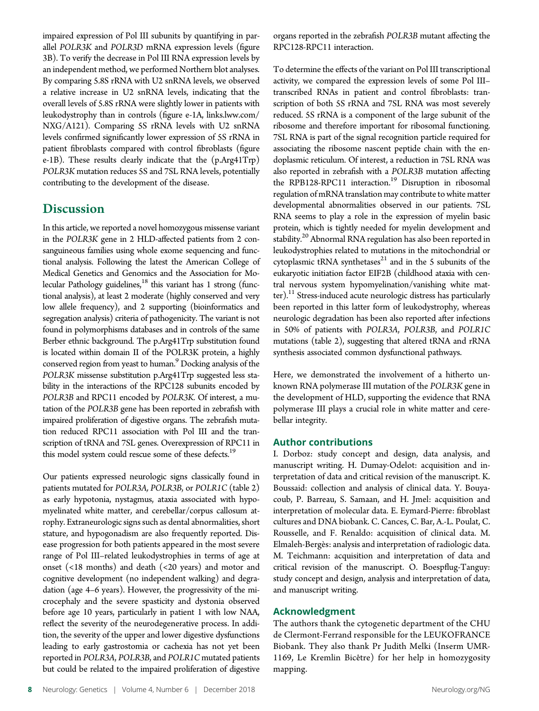impaired expression of Pol III subunits by quantifying in parallel POLR3K and POLR3D mRNA expression levels (figure 3B). To verify the decrease in Pol III RNA expression levels by an independent method, we performed Northern blot analyses. By comparing 5.8S rRNA with U2 snRNA levels, we observed a relative increase in U2 snRNA levels, indicating that the overall levels of 5.8S rRNA were slightly lower in patients with leukodystrophy than in controls (figure e-1A, [links.lww.com/](http://links.lww.com/NXG/A121) [NXG/A121](http://links.lww.com/NXG/A121)). Comparing 5S rRNA levels with U2 snRNA levels confirmed significantly lower expression of 5S rRNA in patient fibroblasts compared with control fibroblasts (figure e-1B). These results clearly indicate that the (p.Arg41Trp) POLR3K mutation reduces 5S and 7SL RNA levels, potentially contributing to the development of the disease.

# **Discussion**

In this article, we reported a novel homozygous missense variant in the POLR3K gene in 2 HLD-affected patients from 2 consanguineous families using whole exome sequencing and functional analysis. Following the latest the American College of Medical Genetics and Genomics and the Association for Molecular Pathology guidelines,<sup>18</sup> this variant has 1 strong (functional analysis), at least 2 moderate (highly conserved and very low allele frequency), and 2 supporting (bioinformatics and segregation analysis) criteria of pathogenicity. The variant is not found in polymorphisms databases and in controls of the same Berber ethnic background. The p.Arg41Trp substitution found is located within domain II of the POLR3K protein, a highly conserved region from yeast to human.<sup>9</sup> Docking analysis of the POLR3K missense substitution p.Arg41Trp suggested less stability in the interactions of the RPC128 subunits encoded by POLR3B and RPC11 encoded by POLR3K. Of interest, a mutation of the POLR3B gene has been reported in zebrafish with impaired proliferation of digestive organs. The zebrafish mutation reduced RPC11 association with Pol III and the transcription of tRNA and 7SL genes. Overexpression of RPC11 in this model system could rescue some of these defects.<sup>19</sup>

Our patients expressed neurologic signs classically found in patients mutated for POLR3A, POLR3B, or POLR1C (table 2) as early hypotonia, nystagmus, ataxia associated with hypomyelinated white matter, and cerebellar/corpus callosum atrophy. Extraneurologic signs such as dental abnormalities, short stature, and hypogonadism are also frequently reported. Disease progression for both patients appeared in the most severe range of Pol III–related leukodystrophies in terms of age at onset (<18 months) and death (<20 years) and motor and cognitive development (no independent walking) and degradation (age 4–6 years). However, the progressivity of the microcephaly and the severe spasticity and dystonia observed before age 10 years, particularly in patient 1 with low NAA, reflect the severity of the neurodegenerative process. In addition, the severity of the upper and lower digestive dysfunctions leading to early gastrostomia or cachexia has not yet been reported in POLR3A, POLR3B, and POLR1C mutated patients but could be related to the impaired proliferation of digestive organs reported in the zebrafish POLR3B mutant affecting the RPC128-RPC11 interaction.

To determine the effects of the variant on Pol III transcriptional activity, we compared the expression levels of some Pol III– transcribed RNAs in patient and control fibroblasts: transcription of both 5S rRNA and 7SL RNA was most severely reduced. 5S rRNA is a component of the large subunit of the ribosome and therefore important for ribosomal functioning. 7SL RNA is part of the signal recognition particle required for associating the ribosome nascent peptide chain with the endoplasmic reticulum. Of interest, a reduction in 7SL RNA was also reported in zebrafish with a POLR3B mutation affecting the RPB128-RPC11 interaction.<sup>19</sup> Disruption in ribosomal regulation of mRNA translation may contribute to white matter developmental abnormalities observed in our patients. 7SL RNA seems to play a role in the expression of myelin basic protein, which is tightly needed for myelin development and stability.<sup>20</sup> Abnormal RNA regulation has also been reported in leukodystrophies related to mutations in the mitochondrial or cytoplasmic tRNA synthetases $^{21}$  and in the 5 subunits of the eukaryotic initiation factor EIF2B (childhood ataxia with central nervous system hypomyelination/vanishing white matter).<sup>11</sup> Stress-induced acute neurologic distress has particularly been reported in this latter form of leukodystrophy, whereas neurologic degradation has been also reported after infections in 50% of patients with POLR3A, POLR3B, and POLR1C mutations (table 2), suggesting that altered tRNA and rRNA synthesis associated common dysfunctional pathways.

Here, we demonstrated the involvement of a hitherto unknown RNA polymerase III mutation of the POLR3K gene in the development of HLD, supporting the evidence that RNA polymerase III plays a crucial role in white matter and cerebellar integrity.

# Author contributions

I. Dorboz: study concept and design, data analysis, and manuscript writing. H. Dumay-Odelot: acquisition and interpretation of data and critical revision of the manuscript. K. Boussaid: collection and analysis of clinical data. Y. Bouyacoub, P. Barreau, S. Samaan, and H. Jmel: acquisition and interpretation of molecular data. E. Eymard-Pierre: fibroblast cultures and DNA biobank. C. Cances, C. Bar, A.-L. Poulat, C. Rousselle, and F. Renaldo: acquisition of clinical data. M. Elmaleh-Bergès: analysis and interpretation of radiologic data. M. Teichmann: acquisition and interpretation of data and critical revision of the manuscript. O. Boespflug-Tanguy: study concept and design, analysis and interpretation of data, and manuscript writing.

# Acknowledgment

The authors thank the cytogenetic department of the CHU de Clermont-Ferrand responsible for the LEUKOFRANCE Biobank. They also thank Pr Judith Melki (Inserm UMR-1169, Le Kremlin Bicêtre) for her help in homozygosity mapping.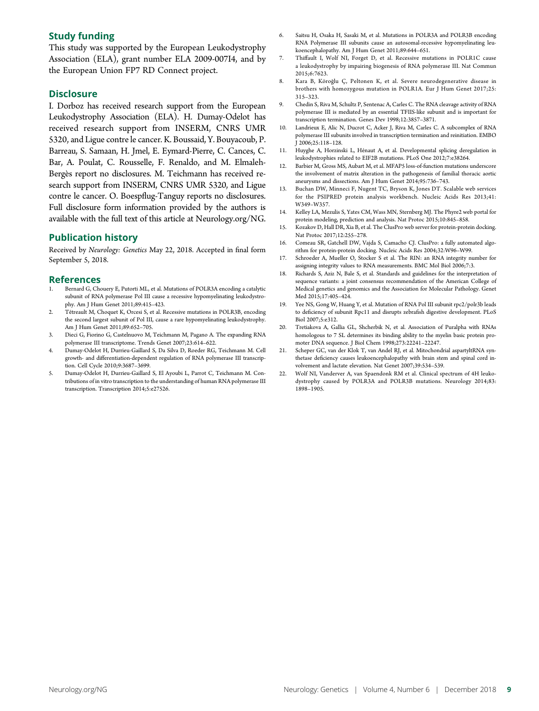# Study funding

This study was supported by the European Leukodystrophy Association (ELA), grant number ELA 2009-007I4, and by the European Union FP7 RD Connect project.

# **Disclosure**

I. Dorboz has received research support from the European Leukodystrophy Association (ELA). H. Dumay-Odelot has received research support from INSERM, CNRS UMR 5320, and Ligue contre le cancer. K. Boussaid, Y. Bouyacoub, P. Barreau, S. Samaan, H. Jmel, E. Eymard-Pierre, C. Cances, C. Bar, A. Poulat, C. Rousselle, F. Renaldo, and M. Elmaleh-Bergès report no disclosures. M. Teichmann has received research support from INSERM, CNRS UMR 5320, and Ligue contre le cancer. O. Boespflug-Tanguy reports no disclosures. Full disclosure form information provided by the authors is available with the full text of this article at [Neurology.org/NG.](http://ng.neurology.org/lookup/doi/10.1212/NXG.0000000000000289)

# Publication history

Received by Neurology: Genetics May 22, 2018. Accepted in final form September 5, 2018.

# References

- Bernard G, Chouery E, Putorti ML, et al. Mutations of POLR3A encoding a catalytic subunit of RNA polymerase Pol III cause a recessive hypomyelinating leukodystrophy. Am J Hum Genet 2011;89:415–423.
- Tétreault M, Choquet K, Orcesi S, et al. Recessive mutations in POLR3B, encoding the second largest subunit of Pol III, cause a rare hypomyelinating leukodystrophy. Am J Hum Genet 2011;89:652–705.
- 3. Dieci G, Fiorino G, Castelnuovo M, Teichmann M, Pagano A. The expanding RNA polymerase III transcriptome. Trends Genet 2007;23:614–622.
- 4. Dumay-Odelot H, Durrieu-Gaillard S, Da Silva D, Roeder RG, Teichmann M. Cell growth- and differentiation-dependent regulation of RNA polymerase III transcription. Cell Cycle 2010;9:3687–3699.
- 5. Dumay-Odelot H, Durrieu-Gaillard S, El Ayoubi L, Parrot C, Teichmann M. Contributions of in vitro transcription to the understanding of human RNA polymerase III transcription. Transcription 2014;5:e27526.
- 6. Saitsu H, Osaka H, Sasaki M, et al. Mutations in POLR3A and POLR3B encoding RNA Polymerase III subunits cause an autosomal-recessive hypomyelinating leukoencephalopathy. Am J Hum Genet 2011;89:644–651.
- 7. Thiffault I, Wolf NI, Forget D, et al. Recessive mutations in POLR1C cause a leukodystrophy by impairing biogenesis of RNA polymerase III. Nat Commun 2015;6:7623.
- 8. Kara B, Köroğlu C, Peltonen K, et al. Severe neurodegenerative disease in brothers with homozygous mutation in POLR1A. Eur J Hum Genet 2017;25: 315–323.
- 9. Chedin S, Riva M, Schultz P, Sentenac A, Carles C. The RNA cleavage activity of RNA polymerase III is mediated by an essential TFIIS-like subunit and is important for transcription termination. Genes Dev 1998;12:3857–3871.
- Landrieux E, Alic N, Ducrot C, Acker J, Riva M, Carles C. A subcomplex of RNA polymerase III subunits involved in transcription termination and reinitiation. EMBO J 2006;25:118–128.
- 11. Huyghe A, Horzinski L, Hénaut A, et al. Developmental splicing deregulation in leukodystrophies related to EIF2B mutations. PLoS One 2012;7:e38264.
- 12. Barbier M, Gross MS, Aubart M, et al. MFAP5 loss-of-function mutations underscore the involvement of matrix alteration in the pathogenesis of familial thoracic aortic aneurysms and dissections. Am J Hum Genet 2014;95:736–743.
- 13. Buchan DW, Minneci F, Nugent TC, Bryson K, Jones DT. Scalable web services for the PSIPRED protein analysis workbench. Nucleic Acids Res 2013;41: W349–W357.
- 14. Kelley LA, Mezulis S, Yates CM, Wass MN, Sternberg MJ. The Phyre2 web portal for protein modeling, prediction and analysis. Nat Protoc 2015;10:845–858.
- 15. Kozakov D, Hall DR, Xia B, et al. The ClusPro web server for protein-protein docking. Nat Protoc 2017;12:255–278.
- 16. Comeau SR, Gatchell DW, Vajda S, Camacho CJ. ClusPro: a fully automated algorithm for protein-protein docking. Nucleic Acids Res 2004;32:W96–W99.
- 17. Schroeder A, Mueller O, Stocker S et al. The RIN: an RNA integrity number for assigning integrity values to RNA measurements. BMC Mol Biol 2006;7:3.
- 18. Richards S, Aziz N, Bale S, et al. Standards and guidelines for the interpretation of sequence variants: a joint consensus recommendation of the American College of Medical genetics and genomics and the Association for Molecular Pathology. Genet Med 2015;17:405–424.
- 19. Yee NS, Gong W, Huang Y, et al. Mutation of RNA Pol III subunit rpc2/polr3b leads to deficiency of subunit Rpc11 and disrupts zebrafish digestive development. PLoS Biol 2007;5:e312.
- 20. Tretiakova A, Gallia GL, Shcherbik N, et al. Association of Puralpha with RNAs homologous to 7 SL determines its binding ability to the myelin basic protein promoter DNA sequence. J Biol Chem 1998;273:22241–22247.
- 21. Scheper GC, van der Klok T, van Andel RJ, et al. Mitochondrial aspartyltRNA synthetase deficiency causes leukoencephalopathy with brain stem and spinal cord involvement and lactate elevation. Nat Genet 2007;39:534–539.
- 22. Wolf NI, Vanderver A, van Spaendonk RM et al. Clinical spectrum of 4H leukodystrophy caused by POLR3A and POLR3B mutations. Neurology 2014;83: 1898–1905.